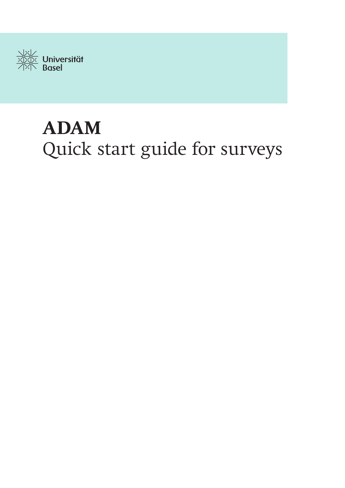

# **ADAM** Quick start guide for surveys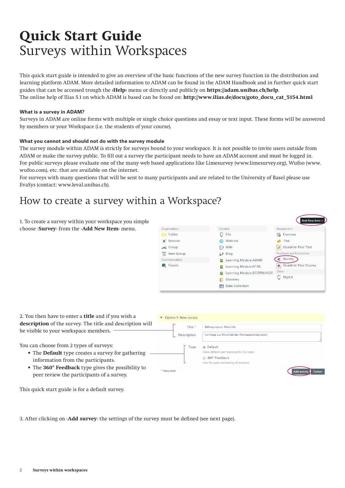# **Quick Start Guide**  Surveys within Workspaces

This quick start guide is intended to give an overview of the basic functions of the new survey function in the distribution and learning platform ADAM. More detailed information to ADAM can be found in the ADAM Handbook and in further quick start guides that can be accessed trough the **‹Help›** menu or directly and publicly on **https://adam.unibas.ch/help**. The online help of Ilias 5.1 on which ADAM is based can be found on: **http://www.ilias.de/docu/goto\_docu\_cat\_5154.html**

## **What is a survey in ADAM?**

Surveys in ADAM are online forms with multiple or single choice questions and essay or text input. These forms will be answered by members or your Workspace (i.e. the students of your course).

## **What you cannot and should not do with the survey module**

The survey module within ADAM is strictly for surveys bound to your workspace. It is not possible to invite users outside from ADAM or make the survey public. To fill out a survey the participant needs to have an ADAM account and must be logged in. For public surveys please evaluate one of the many web based applications like Limesurvey (www.limesurvey.org), Wufoo (www. wufoo.com), etc. that are available on the internet.

For surveys with many questions that will be sent to many participants and are related to the University of Basel please use EvaSys (contact: www.leval.unibas.ch).

## How to create a survey within a Workspace?

1. To create a survey within your workspace you simple choose ‹**Survey**› from the ‹**Add New Item**› menu.



2. You then have to enter a **title** and if you wish a **description** of the survey. The title and description will be visible to your workspace members.

You can choose from 2 types of surveys:

- The **Default** type creates a survey for gathering information from the participants.
- The **360° Feedback** type gives the possibility to peer review the participants of a survey.

| ▼ Option 1: New survey |                                                    |
|------------------------|----------------------------------------------------|
| Title *                | Befragung zur Mobilität                            |
| Description            | Umfrage zur Mobilität der Workspacemitglieder      |
| Type                   | • Default<br>Uses default permissions for Surveys  |
|                        | 360° Feedback<br>Use for peer-reviewing of persons |
| * Required             | <b>Add survey</b><br>Cancel                        |

This quick start guide is for a default survey.

3. After clicking on ‹**Add survey**› the settings of the survey must be defined (see next page).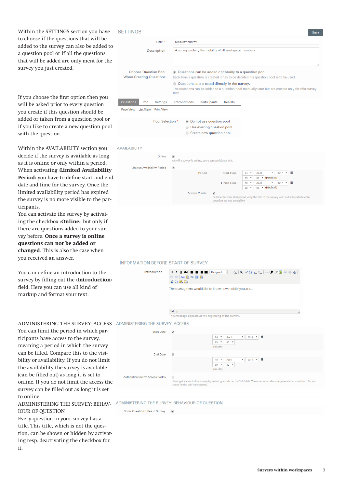Within the SETTINGS section you have to choose if the questions that will be added to the survey can also be added to a question pool or if all the questions that will be added are only ment for the survey you just created.

If you choose the first option then you will be asked prior to every question you create if this question should be added or taken from a question pool or if you like to create a new question pool with the question.

Within the AVAILABILITY section you decide if the survey is available as long as it is online or only within a period. When activating ‹**Limited Availability Period**› you have to define start and end date and time for the survey. Once the limited availability period has expired the survey is no more visible to the par ticipants.

You can activate the survey by activating the checkbox ‹**Online**›, but only if there are questions added to your sur vey before. **Once a survey is online questions can not be added or changed**. This is also the case when you received an answer.

You can define an introduction to the survey by filling out the ‹**Introduction**› field. Here you can use all kind of markup and format your text.

You can limit the period in which par ticipants have access to the survey, meaning a period in which the survey can be filled. Compare this to the visi bility or availability. If you do not limit the availability the survey is available (can be filled out) as long it is set to online. If you do not limit the access the survey can be filled out as long it is set to online.

## IOUR OF QUESTION

Every question in your survey has a title. This title, which is not the ques tion, can be shown or hidden by activating resp. deactivating the checkbox for it.

## **SFTTINGS**

| Title *                                                                                                                                                      | Mobility survey                                                                                                                                  |  |  |
|--------------------------------------------------------------------------------------------------------------------------------------------------------------|--------------------------------------------------------------------------------------------------------------------------------------------------|--|--|
| <b>Description</b>                                                                                                                                           | A survey probing the mobility of all workspace members                                                                                           |  |  |
| <b>Choose Question Pool</b><br><b>When Creating Questions</b>                                                                                                | ⊙ Questions can be added optionally to a question pool<br>Each time a question is created it has to be decided if a question pool is to be used. |  |  |
| Questions are created directly in the survey.<br>The questions can be added to a question pool manually later but are created only for this survey<br>first. |                                                                                                                                                  |  |  |
| <b>Questions</b><br>Settings<br>Info                                                                                                                         | Preconditions<br>Participants<br><b>Results</b>                                                                                                  |  |  |
| <b>Print View</b><br>Page View<br><b>List View</b>                                                                                                           |                                                                                                                                                  |  |  |
| Pool Selection *                                                                                                                                             | to Do not use question pool<br>Use existing question pool<br>Create new question pool                                                            |  |  |

## AVAILABILITY

| Online                             | $\overline{\mathbf{v}}$<br>Only if a survey is online, users can participate in it. |                                                                                                                                                    |         |                           |                        |                           |          |              |   |
|------------------------------------|-------------------------------------------------------------------------------------|----------------------------------------------------------------------------------------------------------------------------------------------------|---------|---------------------------|------------------------|---------------------------|----------|--------------|---|
| <b>Limited Availability Period</b> | $\overline{\mathcal{L}}$                                                            |                                                                                                                                                    |         |                           |                        |                           |          |              |   |
|                                    | Period                                                                              | <b>Start Time</b>                                                                                                                                  | 04      | $\boldsymbol{\mathrm{v}}$ | April                  | $\boldsymbol{\mathrm{v}}$ | 2017 ▼ 前 |              |   |
|                                    |                                                                                     |                                                                                                                                                    | 09      | $\boldsymbol{\mathrm{v}}$ | $00\,$<br>$\mathbf{v}$ | (HH:MM)                   |          |              |   |
|                                    |                                                                                     | <b>Finish Time</b>                                                                                                                                 | $10-10$ | $\boldsymbol{\mathrm{v}}$ | April                  | $\mathbf{v}$              | 2017     | $\mathbf{v}$ | 盖 |
|                                    |                                                                                     |                                                                                                                                                    | 09      | $\overline{\mathbf v}$    | 00<br>$\mathbf{v}$     | (HH:MM)                   |          |              |   |
|                                    | Always Visible                                                                      | $\overline{\mathcal{L}}$<br>Outside the indicated period, only the title of the survey will be displayed while the<br>question are not accessible. |         |                           |                        |                           |          |              |   |

## INFORMATION BEFORE START OF SURVEY

| Introduction | B Z U AR   手写画画   Paragraph   - $-$ 2   x, x' $\Omega$ : : :::   an 字读图 ※ ※ ①  <br>■ ( TEX B HTmL 国 Bm<br>X & B G<br>The managment would like to know how mobile you are |
|--------------|--------------------------------------------------------------------------------------------------------------------------------------------------------------------------|
|              | Path: p                                                                                                                                                                  |
|              | This message appears at the beginning of the survey.                                                                                                                     |

## ADMINISTERING THE SURVEY: ACCESS ADMINISTERING THE SURVEY: ACCESS

| <b>Start Date</b>                     | $\blacktriangledown$                        |                              |                           |                     |                           |          |                                                                                                                            |
|---------------------------------------|---------------------------------------------|------------------------------|---------------------------|---------------------|---------------------------|----------|----------------------------------------------------------------------------------------------------------------------------|
|                                       |                                             | $\overline{\mathbf v}$<br>04 |                           | April               | $\overline{\mathbf{v}}$   | 2017     | ▼■                                                                                                                         |
|                                       |                                             | 09                           | $\overline{\mathbf v}$    | $00$ $V$            |                           |          |                                                                                                                            |
|                                       |                                             | (HH:MM)                      |                           |                     |                           |          |                                                                                                                            |
| <b>End Date</b>                       | $\blacktriangledown$                        |                              |                           |                     |                           |          |                                                                                                                            |
|                                       |                                             | 10 <sup>°</sup>              | $\boldsymbol{\mathrm{v}}$ | April               | $\boldsymbol{\mathrm{v}}$ | 2017 ▼ ■ |                                                                                                                            |
|                                       |                                             | 09                           | $\boldsymbol{\mathrm{v}}$ | $30$ $\overline{v}$ |                           |          |                                                                                                                            |
|                                       |                                             | (HH:MM)                      |                           |                     |                           |          |                                                                                                                            |
| <b>Authentication by Access Codes</b> | $\Box$<br>Codes' in the tab 'Participants'. |                              |                           |                     |                           |          | Users get access to the survey by entering a code on the 'Info'-tab. These access codes are generated in a sub-tab 'Access |
|                                       |                                             |                              |                           |                     |                           |          |                                                                                                                            |

## ADMINISTERING THE SURVEY: BEHAV- ADMINISTERING THE SURVEY: BEHAVIOUR OF QUESTION

Show Question Titles in Survey v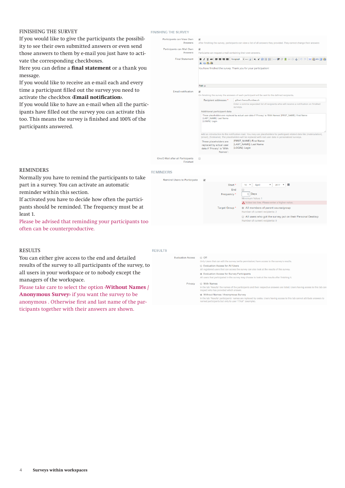## FINISHING THE SURVEY

If you would like to give the participants the possibility to see their own submitted answers or even send those answers to them by e-mail you just have to activate the corresponding checkboxes.

Here you can define a **final statement** or a thank you message.

If you would like to receive an e-mail each and every time a participant filled out the survey you need to activate the checkbox **‹Email notification›**.

If you would like to have an e-mail when all the participants have filled out the survey you can activate this too. This means the survey is finished and 100% of the participants answered.

anonymous . Otherwise first and last name of the participants together with their answers are shown.

| <b>FINISHING THE SURVEY</b>                   |                                                                                                                             |                                                                                                                                                                                                                                   |  |  |  |  |
|-----------------------------------------------|-----------------------------------------------------------------------------------------------------------------------------|-----------------------------------------------------------------------------------------------------------------------------------------------------------------------------------------------------------------------------------|--|--|--|--|
| Participants can View Own<br>Answers          | $\blacktriangleright$                                                                                                       | After finishing the survey, participants can view a list of all answers they provided. They cannot change their answers                                                                                                           |  |  |  |  |
| Participants can Mail Own<br>Answers          | $\overline{\mathcal{L}}$<br>Particiants can request a mail containing their own answers.                                    |                                                                                                                                                                                                                                   |  |  |  |  |
| <b>Final Statement</b>                        | $X = B$ to                                                                                                                  | ΒΙ U AR   手着着目 Paragraph マーク   x, x' Ω ! ! ! :   ω r 講演型∞ ※ ↓   ウ D   ™ 動 m 回 動                                                                                                                                                   |  |  |  |  |
|                                               |                                                                                                                             | You have finished the survey. Thank you for your participation!                                                                                                                                                                   |  |  |  |  |
|                                               | Path: p                                                                                                                     |                                                                                                                                                                                                                                   |  |  |  |  |
| <b>Email notification</b>                     | $\overline{\mathcal{L}}$<br>On finishing the survey the answers of each participant will be sent to the defined recipients. |                                                                                                                                                                                                                                   |  |  |  |  |
|                                               | Recipient addresses *                                                                                                       | gilbert.francz@unibas.ch                                                                                                                                                                                                          |  |  |  |  |
|                                               |                                                                                                                             | Enter a comma separated list of recipients who will receive a notification on finished<br>surveys.                                                                                                                                |  |  |  |  |
|                                               | Additional participant data                                                                                                 |                                                                                                                                                                                                                                   |  |  |  |  |
|                                               | [LAST_NAME]: Last Name<br>[LOGIN]: Login                                                                                    | These placeholders are replaced by actual user data if 'Privacy' is 'With Names': [FIRST_NAME]: First Name                                                                                                                        |  |  |  |  |
|                                               |                                                                                                                             | Add an introduction to the notification mail. You may use placeholders for participant related data like [matriculation],<br>[email], [firstname]. The placeholders will be replaced with real user data in personalized surveys. |  |  |  |  |
|                                               | These placeholders are<br>replaced by actual user<br>data if 'Privacy' is 'With<br>Names':                                  | [FIRST_NAME]: First Name<br>[LAST_NAME]: Last Name<br>[LOGIN]: Login                                                                                                                                                              |  |  |  |  |
| One E-Mail after all Participants<br>Finished | ∩                                                                                                                           |                                                                                                                                                                                                                                   |  |  |  |  |

## REMINDERS

reminder within this section.

often can be counterproductive.

### **REMINDERS**



## RESULTS

least 1.

**RESULTS** 

| ,,,,,,,,,,,,                                                |         |                                                                                                                                                                           |
|-------------------------------------------------------------|---------|---------------------------------------------------------------------------------------------------------------------------------------------------------------------------|
| You can either give access to the end and detailed          |         | Only Users that can edit the survey (write permission) have access to the survey's results.                                                                               |
| results of the survey to all participants of the survey, to |         | Evaluation Access for All Users<br>All registered users that can access the survey can also look at the results of this survey.                                           |
| all users in your workspace or to nobody except the         |         | Evaluation Access for Survey Participants<br>All users that participated in the survey may choose to look at the results after finishing it.                              |
| managers of the workspace.                                  | Privacy | <b>O</b> With Names                                                                                                                                                       |
| Please take care to select the option (Without Names /      |         | In the tab 'Results' the names of the participants and their respective answers are listed. Users having access to this tab can<br>inspect who has provided which answer. |
| Anonymous Survey if you want the survey to be               |         | Without Names / Anonymous Survey                                                                                                                                          |

In the tab 'Results' participants' names are replaced by<br>named participants but only to user 'iTXaF' (example)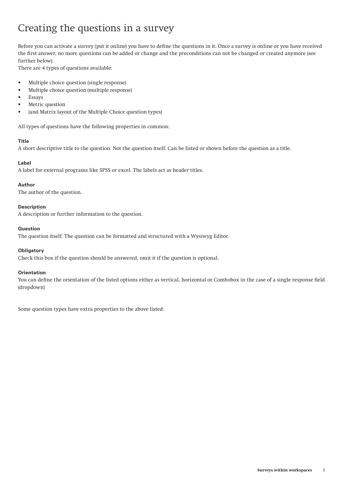## Creating the questions in a survey

Before you can activate a survey (put it online) you have to define the questions in it. Once a survey is online or you have received the first answer, no more questions can be added or change and the preconditions can not be changed or created anymore (see further below).

There are 4 types of questions available:

- Multiple choice question (single response)
- Multiple choice question (multiple response)
- Essays
- Metric question
- (and Matrix layout of the Multiple Choice question types)

All types of questions have the following properties in common:

## **Title**

A short descriptive title to the question. Not the question itself. Can be listed or shown before the question as a title.

## **Label**

A label for external programs like SPSS or excel. The labels act as header titles.

## **Author**

The author of the question.

## **Description**

A description or further information to the question.

## **Question**

The question itself. The question can be formatted and structured with a Wysiwyg Editor.

## **Obligatory**

Check this box if the question should be answered, omit it if the question is optional.

## **Orientation**

You can define the orientation of the listed options either as vertical, horizontal or Combobox in the case of a single response field (dropdown)

Some question types have extra properties to the above listed: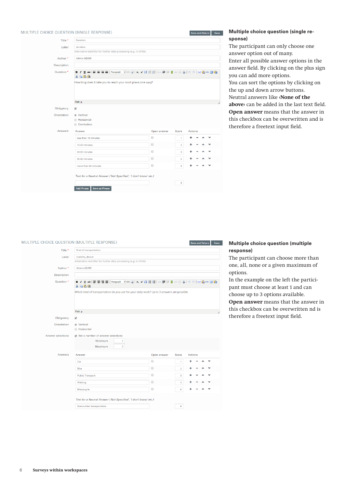### MULTIPLE CHOICE OLIESTION (SINGLE RESPONSE) Save and Return Save Title  $\overline{\phantom{a}}$  Duration duration Label Alternative identifier for further data processing (e.g. in SPSS)  $\Delta$ uthor  $\stackrel{*}{\sim}$   $\Delta$ dmin ADAM Description Question \*  $X = B$ How long does it take you to reach your work place (one way)? Path: n Obligatory  $\overline{u}$ (a) Vertical Orientation **Borizontal**  $\odot$  Combobox Answers Answer Scale Actions Open answer  $\overline{\Box}$  $\ddot{\phantom{1}}$  $\sim$  $\sim 1$ less than 10 minutes  $\hat{\mathbf{v}}$  $\Box$  $\lambda$  $\ddot{\phantom{0}}$ 10-20 minutes  $\overline{2}$  $\ddot{}$  $\Box$  $\ddot{\phantom{0}}$ 20-30 minutes  $\overline{\mathbf{3}}$  $\lambda$  $\hfill \square$  $\ddot{\phantom{a}}$  $\sim$   $\sim$  $\ddot{\phantom{0}}$ 30-40 minutes  $\overline{4}$  $\Box$  $\sim$   $\sim$  $\ddot{\phantom{0}}$ more than 40 minutes  $\epsilon$  $\Phi$ Text for a Neutral Answer ('Not Specified', 'I don't know' etc.)  $\overline{\phantom{a}}$ Add Phrase Save as Phrase

## **Multiple choice question (single response)**

The participant can only choose one answer option out of many. Enter all possible answer options in the answer field. By clicking on the plus sign you can add more options. You can sort the options by clicking on the up and down arrow buttons. Neutral answers like **‹None of the above›** can be added in the last text field. **Open answer** means that the answer in this checkbox can be overwritten and is therefore a freetext input field.

## MULTIPLE CHOICE QUESTION (MULTIPLE RESPONSE)

|                          | TIPLE CHOICE QUESTION (MULTIPLE RESPONSE)                                                             |             |                | <b>Save and Return</b> | Save |
|--------------------------|-------------------------------------------------------------------------------------------------------|-------------|----------------|------------------------|------|
| Title *                  | Kind of transportation                                                                                |             |                |                        |      |
| Label                    | mobility_device                                                                                       |             |                |                        |      |
|                          | Alternative identifier for further data processing (e.g. in SPSS)                                     |             |                |                        |      |
| Author*                  | Admin ADAM                                                                                            |             |                |                        |      |
| Description              |                                                                                                       |             |                |                        |      |
| Question <sup>*</sup>    | BI Z U AB( 手套着   Paragraph  - -2   x, x'Ω ;::;;; ;;;;;;;;;;;;;;;;;;;;;;;) ⊙   rx ©gmm □ ©g<br>人名尼拉    |             |                |                        |      |
|                          | Which kind of transportation do you use for your daily work? Up to 3 answers are possible.<br>Path: p |             |                |                        |      |
|                          |                                                                                                       |             |                |                        |      |
| Obligatory               | $\blacktriangledown$                                                                                  |             |                |                        |      |
| Orientation              | ◉ Vertical<br>● Horizontal                                                                            |             |                |                        |      |
| <b>Answer selections</b> | Set a number of answer selections                                                                     |             |                |                        |      |
|                          | Minimum<br>$\mathbf{1}$<br>Maximum<br>3                                                               |             |                |                        |      |
| Answers                  | Answer                                                                                                | Open answer | Scale          | <b>Actions</b>         |      |
|                          | Car                                                                                                   | $\Box$      | 1              |                        |      |
|                          | <b>Bike</b>                                                                                           | $\Box$      | $\overline{2}$ |                        |      |
|                          | <b>Public Transport</b>                                                                               | 0           | 3              |                        |      |
|                          | Walking                                                                                               | $\Box$      | 4              |                        |      |
|                          | Motorcycle                                                                                            | $\Box$      | 5              |                        |      |
|                          | Text for a Neutral Answer ('Not Specified', 'I don't know' etc.)                                      |             |                |                        |      |
|                          |                                                                                                       |             |                |                        |      |

## **Multiple choice question (multiple response)**

The participant can choose more than one, all, none or a given maximum of options.

In the example on the left the participant must choose at least 1 and can choose up to 3 options available.

**Open answer** means that the answer in this checkbox can be overwritten nd is therefore a freetext input field.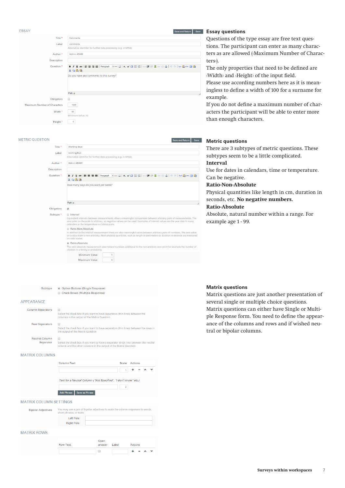| <b>ESSAY</b>                 |                                                                                           | <b>Save and Return</b> | <b>Save</b> |
|------------------------------|-------------------------------------------------------------------------------------------|------------------------|-------------|
| Title *                      | Comments                                                                                  |                        |             |
| Label                        | comments                                                                                  |                        |             |
|                              | Alternative identifier for further data processing (e.g. in SPSS)                         |                        |             |
| Author*                      | Admin ADAM                                                                                |                        |             |
| Description                  |                                                                                           |                        |             |
| Question <sup>*</sup>        | B Z U 48   丰富君国   Paragraph - − -2   x, x'Ω 日日 ④ 健康显@ @ 4   り (*   1×10) mm 回响<br>$X = B$ |                        |             |
|                              | Do you have any comments to this survey?                                                  |                        |             |
|                              | Path: p                                                                                   |                        |             |
| Obligatory                   | $\Box$                                                                                    |                        |             |
| Maximum Number of Characters | 1000                                                                                      |                        |             |
| Width *                      | 50<br>Minimum Value: 10                                                                   |                        |             |
| Height <sup>*</sup>          | Б                                                                                         |                        |             |

### METRIC OLIESTION

| <b>METRIC OUESTION</b> | <b>Save and Return</b><br>Save                                                                                                                                                                                                                                                                                    |
|------------------------|-------------------------------------------------------------------------------------------------------------------------------------------------------------------------------------------------------------------------------------------------------------------------------------------------------------------|
| Title *                | <b>Working days</b>                                                                                                                                                                                                                                                                                               |
| Label                  | workingdays<br>Alternative identifier for further data processing (e.g. in SPSS)                                                                                                                                                                                                                                  |
| Author <sup>*</sup>    | Admin ADAM                                                                                                                                                                                                                                                                                                        |
| <b>Description</b>     |                                                                                                                                                                                                                                                                                                                   |
| Question <sup>*</sup>  | B Z U æs hhanner hanner manner hanner hanner z x, x'Ω ⊟ ⊟ lanner # # \$ ∞ @ o  n e  nex @ mm 回 @ n<br>$X = B$ in                                                                                                                                                                                                  |
|                        | How many days do you work per week?<br>Path: p                                                                                                                                                                                                                                                                    |
| Obligatory             | $\overline{\mathbf{v}}$                                                                                                                                                                                                                                                                                           |
| Subtype <sup>*</sup>   | lnterval<br>Equivalent intervals between measurements allow a meaningful comparison between arbitrary pairs of measurements. The<br>zero point on the scale is arbitrary, so negative values can be used. Examples of interval values are the year date in many<br>calendars or the temperature in Celsius scale. |
|                        | Ratio-Non-Absolute<br>In addition to the interval measurement there are also meaningful ratios between arbitrary pairs of numbers. The zero value<br>on a ratio scale is non-arbitrary. Most physical quantities, such as length in centimeters or duration in seconds are measured<br>on ratio scales.           |
|                        | Absolute<br>The ratio absolute measurement uses natural numbers additional to the non-arbitrary zero point for example the number of<br>children in a family or probability.                                                                                                                                      |
|                        | Minimum Value<br>1<br>Maximum Value<br>Б                                                                                                                                                                                                                                                                          |

## **Essay questions**

Questions of the type essay are free text questions. The participant can enter as many characters as are allowed (‹Maximum Number of Characters›).

The only properties that need to be defined are ‹Width› and ‹Height› of the input field.

Please use according numbers here as it is meaningless to define a width of 100 for a surname for example.

If you do not define a maximum number of characters the participant will be able to enter more than enough characters.

## **Metric questions**

There are 3 subtypes of metric questions. These subtypes seem to be a little complicated.

## **Interval**

Use for dates in calendars, time or temperature. Can be negative.

## **Ratio-Non-Absolute**

Physical quantities like length in cm, duration in seconds, etc. **No negative numbers.**

## **Ratio-Absolute**

**Matrix questions**

tral or bipolar columns.

Absolute, natural number within a range. For example age 1 - 99.

Matrix questions are just another presentation of several single or multiple choice questions. Matrix questions can either have Single or Multiple Response form. You need to define the appearance of the columns and rows and if wished neu-

## Check Boxes (Multiple Response) APPEARANCE Column Separators ( Select the check box if you want to have separators (thin lines) be<br>columns in the output of the Matrix Question

Subtype @ Option Buttons (Single Response)

| <b>NUW JEDALALUIS</b> | Select the check box if you want to have separators (thin lines) between the rows in<br>the output of the Matrix Question |
|-----------------------|---------------------------------------------------------------------------------------------------------------------------|
| <b>Neutral Column</b> | Select the check box if you want to have a separator (thick line) between the neutral                                     |
| Separator             | column and the other columns in the output of the Matrix Question                                                         |

**MATRIX COLUMNS** 

Column Text Scale Actions  $\sqrt{1 + - \lambda}$ Text for a Neutral Column ("Not Specified", "I don't know" etc.) Add Phrase Save as Phrase

### MATRIX COLUMN SETTINGS

| <b>Bipolar Adjectives</b> | short phrases, or texts        | You may use a pair of bipolar adjectives to scale the column responses to words, |                |
|---------------------------|--------------------------------|----------------------------------------------------------------------------------|----------------|
|                           | Left Pole<br><b>Right Pole</b> |                                                                                  |                |
| <b>MATRIX ROWS</b>        |                                |                                                                                  |                |
|                           | <b>Row Text</b>                | Open<br>Labe<br>answer                                                           | <b>Actions</b> |

 $\Box$ 

 $+ - \times +$ 

**Surveys within workspaces** 7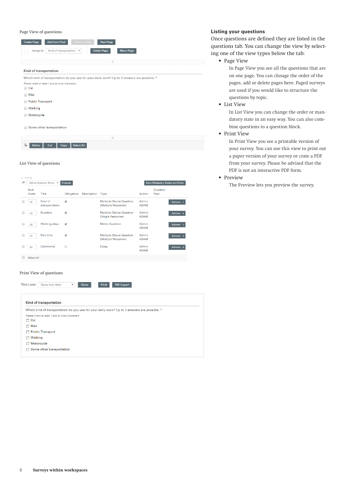### Page View of questions

| <b>Add from Pool</b><br><b>Create Page</b><br><b>Next Page</b><br><b>Previous Page</b><br>Kind of transportation v<br><b>Move Page</b><br>Jump to<br><b>Delete Page</b> |
|-------------------------------------------------------------------------------------------------------------------------------------------------------------------------|
| ÷                                                                                                                                                                       |
| Kind of transportation                                                                                                                                                  |
| Which kind of transportation do you use for your daily work? Up to 3 answers are possible. *<br>Please check at least 1 and at most 3 answers<br>$\Box$ Car             |
| <b>Bike</b><br>$\Box$                                                                                                                                                   |
| <b>Public Transport</b><br>$\Box$                                                                                                                                       |
| <b>■ Walking</b>                                                                                                                                                        |
| Motorcycle                                                                                                                                                              |
| Some other transportation<br>$\Box$<br>÷                                                                                                                                |
| Ь<br><b>Select All</b><br><b>Delete</b><br>Cut<br>Copy                                                                                                                  |
| List View of questions                                                                                                                                                  |

| ₩             | Define Question Block v   | <b>Execute</b>           |                    |                                                        | <b>Save Obligatory States and Order</b> |                  |                                  |  |
|---------------|---------------------------|--------------------------|--------------------|--------------------------------------------------------|-----------------------------------------|------------------|----------------------------------|--|
| Sort<br>Order | Title                     | Obligatory               | <b>Description</b> | <b>Type</b>                                            | Author                                  | Question<br>Pool |                                  |  |
| 10            | Kind of<br>transportation | $\overline{\mathcal{L}}$ |                    | <b>Multiple Choice Question</b><br>(Multiple Response) | Admin<br><b>ADAM</b>                    |                  | Actions $\sim$                   |  |
| 20            | Duration                  | $\overline{\mathcal{L}}$ |                    | <b>Multiple Choice Question</b><br>(Single Response)   | Admin<br><b>ADAM</b>                    |                  | Actions $\sim$                   |  |
| 30            | <b>Working days</b>       | $\blacktriangleright$    |                    | <b>Metric Question</b>                                 | Admin<br><b>ADAM</b>                    |                  | Actions $\overline{\phantom{a}}$ |  |
| 40            | Part time                 | $\overline{\mathcal{L}}$ |                    | <b>Multiple Choice Question</b><br>(Multiple Response) | Admin<br><b>ADAM</b>                    |                  | Actions $\sim$                   |  |
| 50            | <b>Comments</b>           | C                        |                    | Essay                                                  | Admin<br><b>ADAM</b>                    |                  | Actions $\sim$                   |  |

## Print View of questions

and a

Title/Label Show only titles  $\bar{\mathbf{v}}$ Print PDF Export Show Kind of transportation Which kind of transportation do you use for your daily work? Up to 3 answers are possible. \* Please check at least 1 and at most 3 answers  $\Box$  Car  $\Box$  Bike Public Transport  $\Box$  Walking  $\Box$  Motorcycle □ Some other transportation

## **Listing your questions**

Once questions are defined they are listed in the questions tab. You can change the view by selecting one of the view types below the tab:

• Page View

In Page View you see all the questions that are on one page. You can chnage the order of the pages, add or delete pages here. Paged surveys are used if you would like to structure the questions by topic.

• List View

In List View you can change the order or mandatory state in an easy way. You can also combine questions to a question block.

• Print View

In Print View you see a printable version of your survey. You can use this view to print out a paper version of your survey or crate a PDF from your survey. Please be advised that the PDF is not an interactive PDF form.

• Preview

The Preview lets you preview the survey.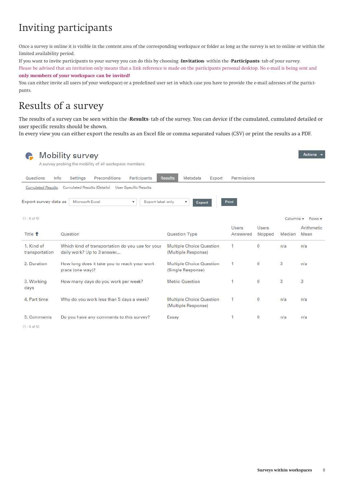## Inviting participants

Once a survey is online it is visible in the content area of the corresponding workspace or folder as long as the survey is set to online or within the limited availability period.

If you want to invite participants to your survey you can do this by choosing ‹**Invitation**› within the ‹**Participants**› tab of your survey.

Please be advised that an invitation only means that a link reference is made on the participants personal desktop. No e-mail is being sent and **only members of your workspace can be invited!**

You can either invite all users (of your workspace) or a predefined user set in which case you have to provide the e-mail adresses of the participants.

## Results of a survey

The results of a survey can be seen within the ‹**Results**› tab of the survey. You can device if the cumulated, cumulated detailed or user specific results should be shown.

In every view you can either export the results as an Excel file or comma separated values (CSV) or print the results as a PDF.

| Actions v<br>Mobility survey<br>A survey probing the mobility of all workspace members                                                               |                                                                                |                                                             |                          |                  |        |                                  |  |  |  |
|------------------------------------------------------------------------------------------------------------------------------------------------------|--------------------------------------------------------------------------------|-------------------------------------------------------------|--------------------------|------------------|--------|----------------------------------|--|--|--|
| Questions<br>Info                                                                                                                                    | <b>Preconditions</b><br>Participants<br>Settings                               | <b>Results</b><br>Metadata<br>Export                        | Permissions              |                  |        |                                  |  |  |  |
| Cumulated Results (Details)<br><b>Cumulated Results</b><br><b>User Specific Results</b>                                                              |                                                                                |                                                             |                          |                  |        |                                  |  |  |  |
| Export survey data as<br>Microsoft Excel<br>Export label only<br><b>Print</b><br>$\overline{\mathbf{v}}$<br>$\overline{\mathbf{v}}$<br><b>Export</b> |                                                                                |                                                             |                          |                  |        |                                  |  |  |  |
| $(1 - 5$ of 5)                                                                                                                                       |                                                                                |                                                             |                          |                  |        | Columns $\bullet$ Rows $\bullet$ |  |  |  |
| Title <sup>+</sup>                                                                                                                                   | Question                                                                       | <b>Question Type</b>                                        | <b>Users</b><br>Answered | Users<br>Skipped | Median | Arithmetic<br>Mean               |  |  |  |
| 1. Kind of<br>transportation                                                                                                                         | Which kind of transportation do you use for your<br>daily work? Up to 3 answer | <b>Multiple Choice Question</b><br>(Multiple Response)      | 1                        | $\bf{0}$         | n/a    | n/a                              |  |  |  |
| 2. Duration                                                                                                                                          | How long does it take you to reach your work<br>place (one way)?               | <b>Multiple Choice Question</b><br>(Single Response)        | 1                        | $\bf{0}$         | 3      | n/a                              |  |  |  |
| 3. Working<br>days                                                                                                                                   | How many days do you work per week?                                            | <b>Metric Question</b>                                      | 1                        | $\bf{0}$         | 3      | 3                                |  |  |  |
| 4. Part time                                                                                                                                         | Why do you work less than 5 days a week?                                       | <b>Multiple Choice Question</b><br>1<br>(Multiple Response) |                          | 0                | n/a    | n/a                              |  |  |  |
| 5. Comments<br>. <b>.</b>                                                                                                                            | Do you have any comments to this survey?                                       | Essay                                                       |                          | 0                | n/a    | n/a                              |  |  |  |

 $(1 - 5$  of 5)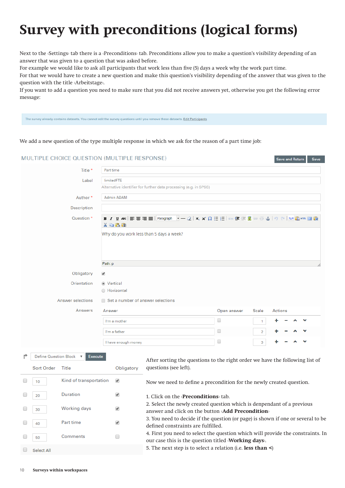# **Survey with preconditions (logical forms)**

Next to the *Settings* tab there is a *Preconditions* tab. Preconditions allow you to make a question's visibility depending of an answer that was given to a question that was asked before.

For example we would like to ask all participants that work less than five (5) days a week why the work part time.

For that we would have to create a new question and make this question's visibility depending of the answer that was given to the question with the title ‹Arbeitstage›.

If you want to add a question you need to make sure that you did not receive answers yet, otherwise you get the following error message:

The survey already contains datasets. You cannot edit the survey questions until you remove these datasets. Edit Participants

We add a new question of the type multiple response in which we ask for the reason of a part time job:

| MULTIPLE CHOICE QUESTION (MULTIPLE RESPONSE)                                |                                                                                                                                           |                                                                                                                                       |             |                | Save and Return |  | Save |  |
|-----------------------------------------------------------------------------|-------------------------------------------------------------------------------------------------------------------------------------------|---------------------------------------------------------------------------------------------------------------------------------------|-------------|----------------|-----------------|--|------|--|
| Title *                                                                     | Part time                                                                                                                                 |                                                                                                                                       |             |                |                 |  |      |  |
| Label                                                                       | limitedFTE                                                                                                                                |                                                                                                                                       |             |                |                 |  |      |  |
|                                                                             |                                                                                                                                           | Alternative identifier for further data processing (e.g. in SPSS)                                                                     |             |                |                 |  |      |  |
| Author <sup>*</sup>                                                         | <b>Admin ADAM</b>                                                                                                                         |                                                                                                                                       |             |                |                 |  |      |  |
| Description                                                                 |                                                                                                                                           |                                                                                                                                       |             |                |                 |  |      |  |
| Question *                                                                  | B / U ABC   三 三 三 三   Paragraph<br>x Q B G                                                                                                |                                                                                                                                       |             |                |                 |  |      |  |
|                                                                             | Path: p                                                                                                                                   | Why do you work less than 5 days a week?                                                                                              |             |                |                 |  |      |  |
|                                                                             |                                                                                                                                           |                                                                                                                                       |             |                |                 |  |      |  |
| Obligatory                                                                  | ✔                                                                                                                                         |                                                                                                                                       |             |                |                 |  |      |  |
| Orientation                                                                 | ◉ Vertical<br>○ Horizontal                                                                                                                |                                                                                                                                       |             |                |                 |  |      |  |
|                                                                             |                                                                                                                                           |                                                                                                                                       |             |                |                 |  |      |  |
| Answer selections                                                           | Set a number of answer selections                                                                                                         |                                                                                                                                       |             |                |                 |  |      |  |
| Answers                                                                     | Answer                                                                                                                                    |                                                                                                                                       | Open answer | Scale          | Actions         |  |      |  |
|                                                                             | I'm a mother                                                                                                                              |                                                                                                                                       | 0           | 1              |                 |  |      |  |
|                                                                             | I'm a father                                                                                                                              |                                                                                                                                       | 0           | $\overline{2}$ |                 |  |      |  |
|                                                                             | I have enough money                                                                                                                       |                                                                                                                                       | 0           | 3              |                 |  |      |  |
| <b>Define Question Block</b><br><b>Execute</b><br>$\boldsymbol{\mathrm{v}}$ |                                                                                                                                           | After sorting the questions to the right order we have the following list of                                                          |             |                |                 |  |      |  |
| Sort Order<br>Title                                                         | Obligatory                                                                                                                                | questions (see left).                                                                                                                 |             |                |                 |  |      |  |
| Kind of transportation<br>u<br>10                                           | ✔                                                                                                                                         | Now we need to define a precondition for the newly created question.                                                                  |             |                |                 |  |      |  |
| Duration<br>20                                                              | ✔                                                                                                                                         | 1. Click on the <b>Preconditions</b> tab.                                                                                             |             |                |                 |  |      |  |
| <b>Working days</b><br>30                                                   | 2. Select the newly created question which is denpendant of a previous<br>✔<br>answer and click on the button <add precondition=""></add> |                                                                                                                                       |             |                |                 |  |      |  |
| Part time<br>40                                                             | ✔                                                                                                                                         | 3. You need to decide if the question (or page) is shown if one or several to be<br>defined constraints are fulfilled.                |             |                |                 |  |      |  |
| Comments<br>50                                                              | $\Box$                                                                                                                                    | 4. First you need to select the question which will provide the constraints. In<br>our case this is the question titled Working days. |             |                |                 |  |      |  |

5. The next step is to select a relation (i.e. **less than <**)

Select All

∩